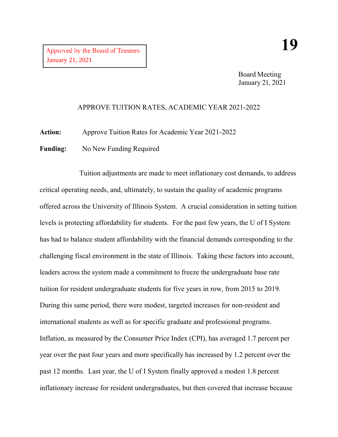Board Meeting January 21, 2021

## APPROVE TUITION RATES, ACADEMIC YEAR 2021-2022

**Action:** Approve Tuition Rates for Academic Year 2021-2022

Funding: No New Funding Required

Tuition adjustments are made to meet inflationary cost demands, to address critical operating needs, and, ultimately, to sustain the quality of academic programs offered across the University of Illinois System. A crucial consideration in setting tuition levels is protecting affordability for students. For the past few years, the U of I System has had to balance student affordability with the financial demands corresponding to the challenging fiscal environment in the state of Illinois. Taking these factors into account, leaders across the system made a commitment to freeze the undergraduate base rate tuition for resident undergraduate students for five years in row, from 2015 to 2019. During this same period, there were modest, targeted increases for non-resident and international students as well as for specific graduate and professional programs. Inflation, as measured by the Consumer Price Index (CPI), has averaged 1.7 percent per year over the past four years and more specifically has increased by 1.2 percent over the past 12 months. Last year, the U of I System finally approved a modest 1.8 percent inflationary increase for resident undergraduates, but then covered that increase because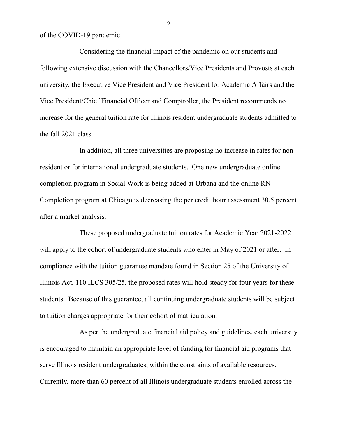of the COVID-19 pandemic.

Considering the financial impact of the pandemic on our students and following extensive discussion with the Chancellors/Vice Presidents and Provosts at each university, the Executive Vice President and Vice President for Academic Affairs and the Vice President/Chief Financial Officer and Comptroller, the President recommends no increase for the general tuition rate for Illinois resident undergraduate students admitted to the fall 2021 class.

In addition, all three universities are proposing no increase in rates for nonresident or for international undergraduate students. One new undergraduate online completion program in Social Work is being added at Urbana and the online RN Completion program at Chicago is decreasing the per credit hour assessment 30.5 percent after a market analysis.

These proposed undergraduate tuition rates for Academic Year 2021-2022 will apply to the cohort of undergraduate students who enter in May of 2021 or after. In compliance with the tuition guarantee mandate found in Section 25 of the University of Illinois Act, 110 ILCS 305/25, the proposed rates will hold steady for four years for these students. Because of this guarantee, all continuing undergraduate students will be subject to tuition charges appropriate for their cohort of matriculation.

As per the undergraduate financial aid policy and guidelines, each university is encouraged to maintain an appropriate level of funding for financial aid programs that serve Illinois resident undergraduates, within the constraints of available resources. Currently, more than 60 percent of all Illinois undergraduate students enrolled across the

2